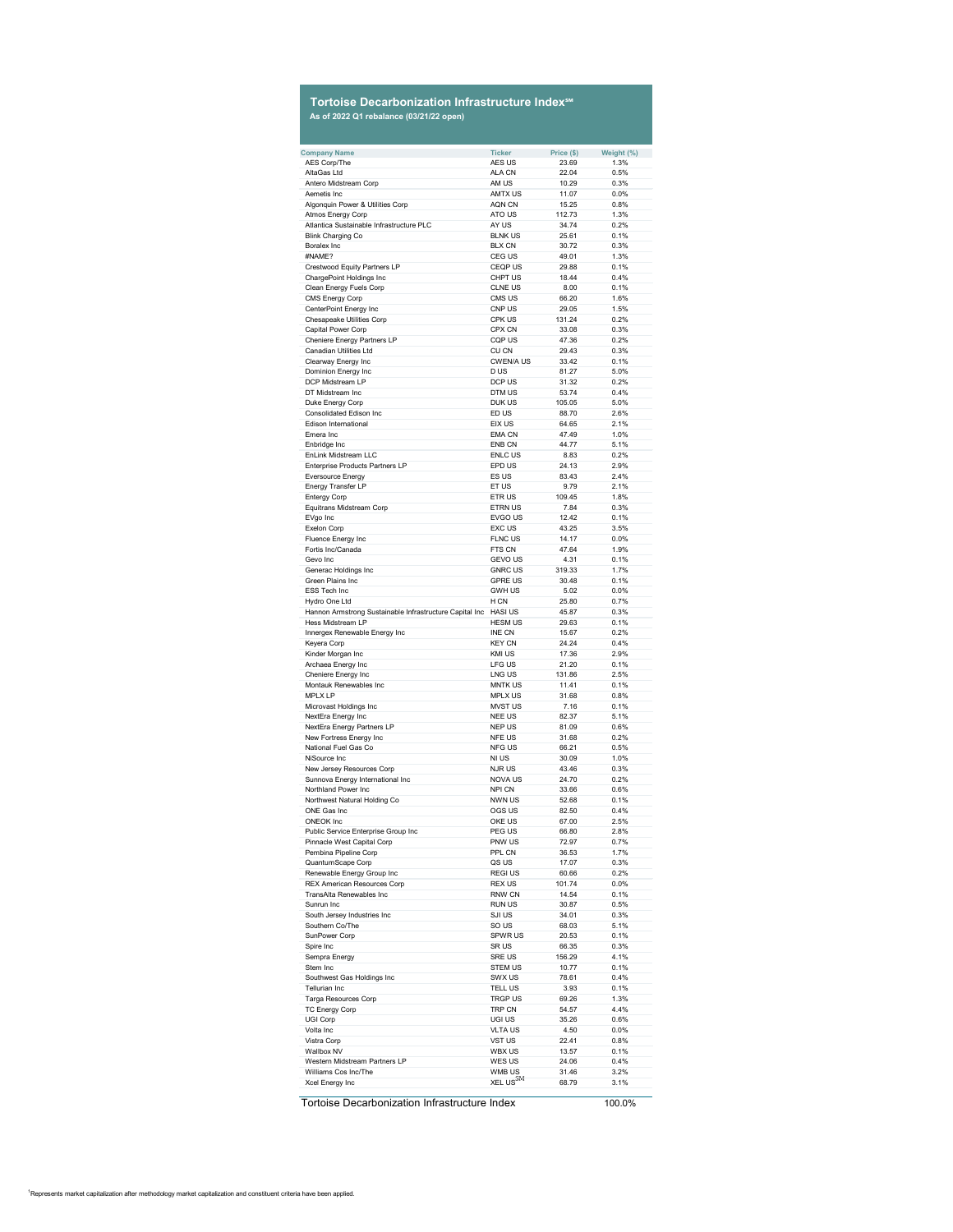## **Tortoise Decarbonization Infrastructure Index℠ As of 2022 Q1 rebalance (03/21/22 open)**

| <b>Company Name</b>                                       | <b>Ticker</b>           | Price (\$)     | Weight (%)   |
|-----------------------------------------------------------|-------------------------|----------------|--------------|
| <b>AES Corp/The</b>                                       | AES US                  | 23.69          | 1.3%         |
| AltaGas Ltd                                               | <b>ALA CN</b>           | 22.04          | 0.5%         |
| Antero Midstream Corp                                     | AM US                   | 10.29          | 0.3%         |
| Aemetis Inc                                               | <b>AMTX US</b>          | 11.07          | 0.0%         |
|                                                           |                         |                |              |
| Algonquin Power & Utilities Corp                          | <b>AQN CN</b>           | 15.25          | 0.8%         |
| <b>Atmos Energy Corp</b>                                  | ATO US                  | 112.73         | 1.3%         |
| Atlantica Sustainable Infrastructure PLC                  | AY US                   | 34.74          | 0.2%         |
| <b>Blink Charging Co</b>                                  | <b>BLNK US</b>          | 25.61          | 0.1%         |
|                                                           |                         |                |              |
| <b>Boralex Inc</b>                                        | <b>BLX CN</b>           | 30.72          | 0.3%         |
| #NAME?                                                    | <b>CEG US</b>           | 49.01          | 1.3%         |
| <b>Crestwood Equity Partners LP</b>                       | <b>CEQP US</b>          | 29.88          | 0.1%         |
| <b>ChargePoint Holdings Inc</b>                           | <b>CHPT US</b>          | 18.44          | 0.4%         |
|                                                           | <b>CLNE US</b>          | 8.00           | 0.1%         |
| <b>Clean Energy Fuels Corp</b>                            |                         |                |              |
| <b>CMS Energy Corp</b>                                    | <b>CMS US</b>           | 66.20          | 1.6%         |
| <b>CenterPoint Energy Inc</b>                             | <b>CNP US</b>           | 29.05          | 1.5%         |
| <b>Chesapeake Utilities Corp</b>                          | <b>CPK US</b>           | 131.24         | 0.2%         |
| <b>Capital Power Corp</b>                                 | <b>CPX CN</b>           | 33.08          | 0.3%         |
|                                                           |                         |                |              |
| <b>Cheniere Energy Partners LP</b>                        | <b>CQP US</b>           | 47.36          | 0.2%         |
| <b>Canadian Utilities Ltd</b>                             | <b>CU CN</b>            | 29.43          | 0.3%         |
| <b>Clearway Energy Inc</b>                                | <b>CWEN/AUS</b>         | 33.42          | 0.1%         |
| <b>Dominion Energy Inc</b>                                | D US                    | 81.27          | 5.0%         |
|                                                           |                         |                |              |
| <b>DCP Midstream LP</b>                                   | DCP US                  | 31.32          | 0.2%         |
| DT Midstream Inc                                          | DTM US                  | 53.74          | 0.4%         |
| Duke Energy Corp                                          | <b>DUK US</b>           | 105.05         | 5.0%         |
| <b>Consolidated Edison Inc</b>                            | ED US                   | 88.70          | 2.6%         |
|                                                           |                         |                |              |
| <b>Edison International</b>                               | EIX US                  | 64.65          | 2.1%         |
| Emera Inc                                                 | <b>EMA CN</b>           | 47.49          | 1.0%         |
| Enbridge Inc                                              | <b>ENB CN</b>           | 44.77          | 5.1%         |
| <b>EnLink Midstream LLC</b>                               | <b>ENLC US</b>          | 8.83           | 0.2%         |
|                                                           | <b>EPD US</b>           |                |              |
| <b>Enterprise Products Partners LP</b>                    |                         | 24.13          | 2.9%         |
| <b>Eversource Energy</b>                                  | ES US                   | 83.43          | 2.4%         |
| <b>Energy Transfer LP</b>                                 | ET US                   | 9.79           | 2.1%         |
| <b>Entergy Corp</b>                                       | <b>ETRUS</b>            | 109.45         | 1.8%         |
|                                                           |                         |                |              |
| <b>Equitrans Midstream Corp</b>                           | <b>ETRN US</b>          | 7.84           | 0.3%         |
| EVgo Inc                                                  | <b>EVGO US</b>          | 12.42          | 0.1%         |
| <b>Exelon Corp</b>                                        | <b>EXC US</b>           | 43.25          | 3.5%         |
| Fluence Energy Inc                                        | <b>FLNC US</b>          | 14.17          | 0.0%         |
| Fortis Inc/Canada                                         | FTS CN                  |                | 1.9%         |
|                                                           |                         | 47.64          |              |
| Gevo Inc                                                  | <b>GEVO US</b>          | 4.31           | 0.1%         |
| Generac Holdings Inc                                      | <b>GNRC US</b>          | 319.33         | 1.7%         |
| <b>Green Plains Inc</b>                                   | <b>GPRE US</b>          | 30.48          | 0.1%         |
| <b>ESS Tech Inc</b>                                       | <b>GWH US</b>           |                |              |
|                                                           |                         | 5.02           | 0.0%         |
| Hydro One Ltd                                             | H CN                    | 25.80          | 0.7%         |
| Hannon Armstrong Sustainable Infrastructure Capital Inc   | <b>HASI US</b>          | 45.87          | 0.3%         |
| <b>Hess Midstream LP</b>                                  | <b>HESM US</b>          | 29.63          | 0.1%         |
|                                                           | <b>INE CN</b>           |                | 0.2%         |
|                                                           |                         |                |              |
| Innergex Renewable Energy Inc                             |                         | 15.67          |              |
| Keyera Corp                                               | <b>KEY CN</b>           | 24.24          | 0.4%         |
| Kinder Morgan Inc                                         | <b>KMI US</b>           | 17.36          | 2.9%         |
|                                                           |                         |                |              |
| Archaea Energy Inc                                        | <b>LFG US</b>           | 21.20          | 0.1%         |
| <b>Cheniere Energy Inc</b>                                | LNG US                  | 131.86         | 2.5%         |
| <b>Montauk Renewables Inc</b>                             | <b>MNTK US</b>          | 11.41          | 0.1%         |
| <b>MPLX LP</b>                                            | <b>MPLX US</b>          | 31.68          | 0.8%         |
|                                                           | <b>MVST US</b>          | 7.16           | 0.1%         |
| Microvast Holdings Inc                                    |                         |                |              |
| NextEra Energy Inc                                        | <b>NEE US</b>           | 82.37          | 5.1%         |
| <b>NextEra Energy Partners LP</b>                         | <b>NEP US</b>           | 81.09          | 0.6%         |
| New Fortress Energy Inc                                   | <b>NFE US</b>           | 31.68          | 0.2%         |
| <b>National Fuel Gas Co</b>                               | <b>NFG US</b>           | 66.21          | 0.5%         |
|                                                           |                         |                |              |
| NiSource Inc                                              | <b>NI US</b>            | 30.09          | 1.0%         |
| New Jersey Resources Corp                                 | <b>NJRUS</b>            | 43.46          | 0.3%         |
| Sunnova Energy International Inc                          | <b>NOVA US</b>          | 24.70          | 0.2%         |
| <b>Northland Power Inc</b>                                | <b>NPI CN</b>           | 33.66          | 0.6%         |
| Northwest Natural Holding Co                              | <b>NWN US</b>           | 52.68          | 0.1%         |
|                                                           |                         |                |              |
| <b>ONE Gas Inc</b>                                        | <b>OGS US</b>           | 82.50          | 0.4%         |
| <b>ONEOK Inc</b>                                          | OKE US                  | 67.00          | 2.5%         |
| Public Service Enterprise Group Inc                       | PEG US                  | 66.80          | 2.8%         |
| <b>Pinnacle West Capital Corp</b>                         | <b>PNW US</b>           | 72.97          | 0.7%         |
|                                                           |                         |                |              |
| Pembina Pipeline Corp                                     | PPL CN                  | 36.53          | 1.7%         |
| <b>QuantumScape Corp</b>                                  | QS US                   | 17.07          | 0.3%         |
| Renewable Energy Group Inc                                | <b>REGIUS</b>           | 60.66          | 0.2%         |
| <b>REX American Resources Corp</b>                        | <b>REX US</b>           | 101.74         | 0.0%         |
| <b>TransAlta Renewables Inc</b>                           | <b>RNW CN</b>           | 14.54          | 0.1%         |
|                                                           |                         |                |              |
| Sunrun Inc                                                | <b>RUN US</b>           | 30.87          | 0.5%         |
| South Jersey Industries Inc                               | <b>SJI US</b>           | 34.01          | 0.3%         |
| Southern Co/The                                           | SO US                   | 68.03          | 5.1%         |
| <b>SunPower Corp</b>                                      | <b>SPWR US</b>          | 20.53          | 0.1%         |
|                                                           |                         |                |              |
| Spire Inc                                                 | <b>SRUS</b>             | 66.35          | 0.3%         |
| Sempra Energy                                             | <b>SRE US</b>           | 156.29         | 4.1%         |
| Stem Inc                                                  | <b>STEM US</b>          | 10.77          | 0.1%         |
| Southwest Gas Holdings Inc                                | <b>SWX US</b>           | 78.61          | 0.4%         |
|                                                           |                         |                |              |
| <b>Tellurian Inc</b>                                      | <b>TELL US</b>          | 3.93           | 0.1%         |
| <b>Targa Resources Corp</b>                               | <b>TRGP US</b>          | 69.26          | 1.3%         |
| <b>TC Energy Corp</b>                                     | <b>TRP CN</b>           | 54.57          | 4.4%         |
| <b>UGI Corp</b>                                           | UGI US                  | 35.26          | 0.6%         |
| Volta Inc                                                 | <b>VLTAUS</b>           | 4.50           | 0.0%         |
|                                                           |                         |                |              |
| <b>Vistra Corp</b>                                        | <b>VST US</b>           | 22.41          | 0.8%         |
| <b>Wallbox NV</b><br><b>Western Midstream Partners LP</b> | <b>WBX US</b><br>WES US | 13.57<br>24.06 | 0.1%<br>0.4% |

|                      |                       |       | -------- |
|----------------------|-----------------------|-------|----------|
| Williams Cos Inc/The | WMB US<br>$\sim$      | 31.46 | $3.2\%$  |
| Xcel Energy Inc      | $L$ US $^{\text{DW}}$ | 68.79 | $1\%$    |

| Tortoise Decarbonization Infrastructure Index | 100.0% |
|-----------------------------------------------|--------|
|-----------------------------------------------|--------|

 $1$ Represents market capitalization after methodology market capitalization and constituent criteria have been applied.